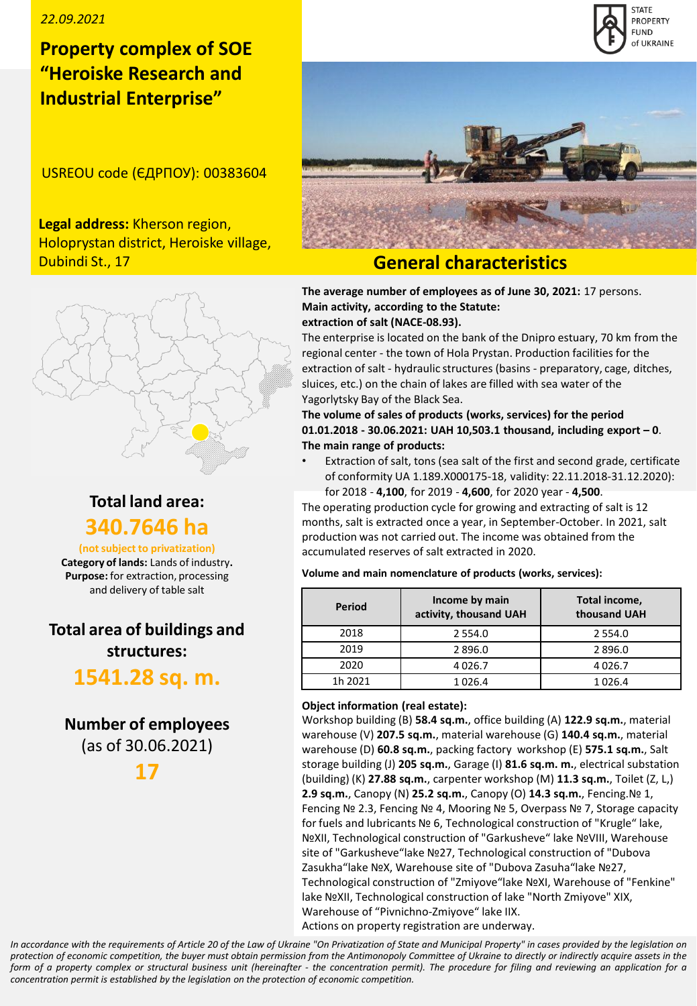### *22.09.2021*

## **Property complex of SOE "Heroiske Research and Industrial Enterprise"**

USREOU code (ЄДРПОУ): 00383604

**Legal address:** Kherson region, Holoprystan district, Heroiske village, Dubindi St., 17

## **General characteristics**

**The average number of employees as of June 30, 2021:** 17 persons. **Main activity, according to the Statute: extraction of salt (NACE-08.93).**

The enterprise is located on the bank of the Dnipro estuary, 70 km from the regional center - the town of Hola Prystan. Production facilities for the extraction of salt - hydraulic structures (basins - preparatory, cage, ditches, sluices, etc.) on the chain of lakes are filled with sea water of the Yagorlytsky Bay of the Black Sea.

**The volume of sales of products (works, services) for the period 01.01.2018 - 30.06.2021: UAH 10,503.1 thousand, including export – 0**. **The main range of products:** 

Extraction of salt, tons (sea salt of the first and second grade, certificate of conformity UA 1.189.Х000175-18, validity: 22.11.2018-31.12.2020): for 2018 - **4,100**, for 2019 - **4,600**, for 2020 year - **4,500**.

The operating production cycle for growing and extracting of salt is 12 months, salt is extracted once a year, in September-October. In 2021, salt production was not carried out. The income was obtained from the accumulated reserves of salt extracted in 2020.

**Volume and main nomenclature of products (works, services):**

| Period  | Income by main<br>activity, thousand UAH | Total income,<br>thousand UAH |  |
|---------|------------------------------------------|-------------------------------|--|
| 2018    | 2 5 5 4 .0                               | 2 5 5 4 .0                    |  |
| 2019    | 2896.0                                   | 2896.0                        |  |
| 2020    | 4026.7                                   | 4026.7                        |  |
| 1h 2021 | 1026.4                                   | 1026.4                        |  |

### **Object information (real estate):**

Workshop building (B) **58.4 sq.m.**, office building (A) **122.9 sq.m.**, material warehouse (V) **207.5 sq.m.**, material warehouse (G) **140.4 sq.m.**, material warehouse (D) **60.8 sq.m.**, packing factory workshop (E) **575.1 sq.m.**, Salt storage building (J) **205 sq.m.**, Garage (I) **81.6 sq.m. m.**, electrical substation (building) (K) **27.88 sq.m.**, carpenter workshop (M) **11.3 sq.m.**, Toilet (Z, L,) **2.9 sq.m.**, Canopy (N) **25.2 sq.m.**, Canopy (O) **14.3 sq.m.**, Fencing.№ 1, Fencing № 2.3, Fencing № 4, Mooring № 5, Overpass № 7, Storage capacity for fuels and lubricants № 6, Technological construction of "Krugle" lake, №ХІІ, Technological construction of "Garkusheve" lake №VІІІ, Warehouse site of "Garkusheve"lake №27, Technological construction of "Dubova Zasukha"lake №Х, Warehouse site of "Dubova Zasuha"lake №27, Technological construction of "Zmiyove"lake NºXI, Warehouse of "Fenkine" lake №ХІІ, Technological construction of lake "North Zmiyove" ХІХ, Warehouse of "Pivnichno-Zmiyove" lake ІІХ.

Actions on property registration are underway.

In accordance with the requirements of Article 20 of the Law of Ukraine "On Privatization of State and Municipal Property" in cases provided by the legislation on protection of economic competition, the buyer must obtain permission from the Antimonopoly Committee of Ukraine to directly or indirectly acquire assets in the form of a property complex or structural business unit (hereinafter - the concentration permit). The procedure for filing and reviewing an application for a *concentration permit is established by the legislation on the protection of economic competition.*



## **Total land area: 340.7646 ha**

**(not subject to privatization)**

**Category of lands:** Lands of industry**. Purpose:** for extraction, processing and delivery of table salt

# **Total area of buildings and structures:**

# **1541.28 sq. m.**

# **Number of employees**

(as of 30.06.2021)

**17**